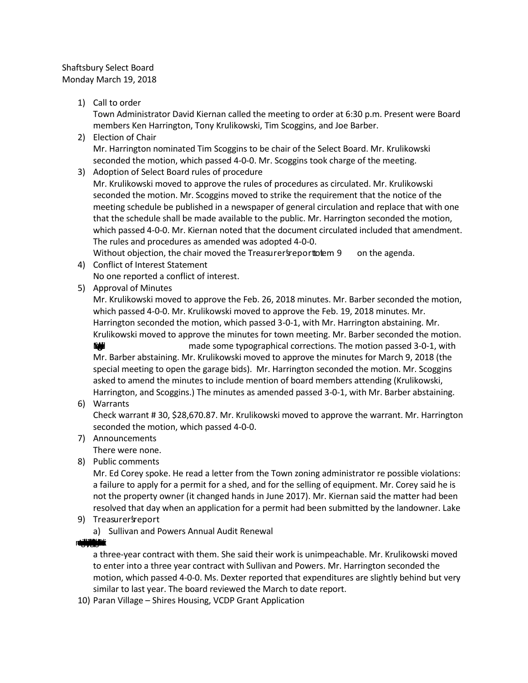## Shaftsbury Select Board Monday March 19, 2018

# 1) Call to order

Town Administrator David Kiernan called the meeting to order at 6:30 p.m. Present were Board members Ken Harrington, Tony Krulikowski, Tim Scoggins, and Joe Barber.

- 2) Election of Chair Mr. Harrington nominated Tim Scoggins to be chair of the Select Board. Mr. Krulikowski seconded the motion, which passed 4-0-0. Mr. Scoggins took charge of the meeting.
- 3) Adoption of Select Board rules of procedure

Mr. Krulikowski moved to approve the rules of procedures as circulated. Mr. Krulikowski seconded the motion. Mr. Scoggins moved to strike the requirement that the notice of the meeting schedule be published in a newspaper of general circulation and replace that with one that the schedule shall be made available to the public. Mr. Harrington seconded the motion, which passed 4-0-0. Mr. Kiernan noted that the document circulated included that amendment. The rules and procedures as amended was adopted 4-0-0.

Without objection, the chair moved the Treasurer's report to tem 9 on the agenda.

4) Conflict of Interest Statement

No one reported a conflict of interest.

5) Approval of Minutes

Mr. Krulikowski moved to approve the Feb. 26, 2018 minutes. Mr. Barber seconded the motion, which passed 4-0-0. Mr. Krulikowski moved to approve the Feb. 19, 2018 minutes. Mr. Harrington seconded the motion, which passed 3-0-1, with Mr. Harrington abstaining. Mr. Krulikowski moved to approve the minutes for town meeting. Mr. Barber seconded the motion.

**ENVELOCITY CONSUMING METALLY CONSUMING METALLY METALLY METALLY METALLY CONSUMING METALLY CONSUMING METALLY CONSU** Mr. Barber abstaining. Mr. Krulikowski moved to approve the minutes for March 9, 2018 (the special meeting to open the garage bids). Mr. Harrington seconded the motion. Mr. Scoggins asked to amend the minutes to include mention of board members attending (Krulikowski, Harrington, and Scoggins.) The minutes as amended passed 3-0-1, with Mr. Barber abstaining.

6) Warrants

Check warrant # 30, \$28,670.87. Mr. Krulikowski moved to approve the warrant. Mr. Harrington seconded the motion, which passed 4-0-0.

7) Announcements

There were none.

8) Public comments

Mr. Ed Corey spoke. He read a letter from the Town zoning administrator re possible violations: a failure to apply for a permit for a shed, and for the selling of equipment. Mr. Corey said he is not the property owner (it changed hands in June 2017). Mr. Kiernan said the matter had been resolved that day when an application for a permit had been submitted by the landowner. Lake

- 9) Treasurer *s*report
	- a) Sullivan and Powers Annual Audit Renewal

**Massacritistics**in

a three-year contract with them. She said their work is unimpeachable. Mr. Krulikowski moved to enter into a three year contract with Sullivan and Powers. Mr. Harrington seconded the motion, which passed 4-0-0. Ms. Dexter reported that expenditures are slightly behind but very similar to last year. The board reviewed the March to date report.

10) Paran Village – Shires Housing, VCDP Grant Application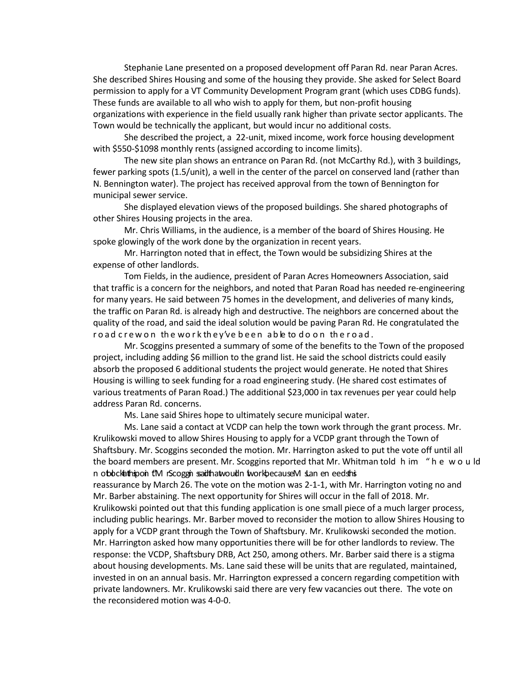Stephanie Lane presented on a proposed development off Paran Rd. near Paran Acres. She described Shires Housing and some of the housing they provide. She asked for Select Board permission to apply for a VT Community Development Program grant (which uses CDBG funds). These funds are available to all who wish to apply for them, but non-profit housing organizations with experience in the field usually rank higher than private sector applicants. The Town would be technically the applicant, but would incur no additional costs.

She described the project, a 22-unit, mixed income, work force housing development with \$550-\$1098 monthly rents (assigned according to income limits).

The new site plan shows an entrance on Paran Rd. (not McCarthy Rd.), with 3 buildings, fewer parking spots (1.5/unit), a well in the center of the parcel on conserved land (rather than N. Bennington water). The project has received approval from the town of Bennington for municipal sewer service.

She displayed elevation views of the proposed buildings. She shared photographs of other Shires Housing projects in the area.

Mr. Chris Williams, in the audience, is a member of the board of Shires Housing. He spoke glowingly of the work done by the organization in recent years.

Mr. Harrington noted that in effect, the Town would be subsidizing Shires at the expense of other landlords.

Tom Fields, in the audience, president of Paran Acres Homeowners Association, said that traffic is a concern for the neighbors, and noted that Paran Road has needed re-engineering for many years. He said between 75 homes in the development, and deliveries of many kinds, the traffic on Paran Rd. is already high and destructive. The neighbors are concerned about the quality of the road, and said the ideal solution would be paving Paran Rd. He congratulated the ro ad crew on the work they've been able to do on the road.

Mr. Scoggins presented a summary of some of the benefits to the Town of the proposed project, including adding \$6 million to the grand list. He said the school districts could easily absorb the proposed 6 additional students the project would generate. He noted that Shires Housing is willing to seek funding for a road engineering study. (He shared cost estimates of various treatments of Paran Road.) The additional \$23,000 in tax revenues per year could help address Paran Rd. concerns.

Ms. Lane said Shires hope to ultimately secure municipal water.

Ms. Lane said a contact at VCDP can help the town work through the grant process. Mr. Krulikowski moved to allow Shires Housing to apply for a VCDP grant through the Town of Shaftsbury. Mr. Scoggins seconded the motion. Mr. Harrington asked to put the vote off until all the board members are present. Mr. Scoggins reported that Mr. Whitman told h im " h e w o u ld n ot block ith is coggin said that would not work because M s. an eneed shis reassurance by March 26. The vote on the motion was 2-1-1, with Mr. Harrington voting no and Mr. Barber abstaining. The next opportunity for Shires will occur in the fall of 2018. Mr. Krulikowski pointed out that this funding application is one small piece of a much larger process, including public hearings. Mr. Barber moved to reconsider the motion to allow Shires Housing to apply for a VCDP grant through the Town of Shaftsbury. Mr. Krulikowski seconded the motion. Mr. Harrington asked how many opportunities there will be for other landlords to review. The response: the VCDP, Shaftsbury DRB, Act 250, among others. Mr. Barber said there is a stigma about housing developments. Ms. Lane said these will be units that are regulated, maintained, invested in on an annual basis. Mr. Harrington expressed a concern regarding competition with private landowners. Mr. Krulikowski said there are very few vacancies out there. The vote on the reconsidered motion was 4-0-0.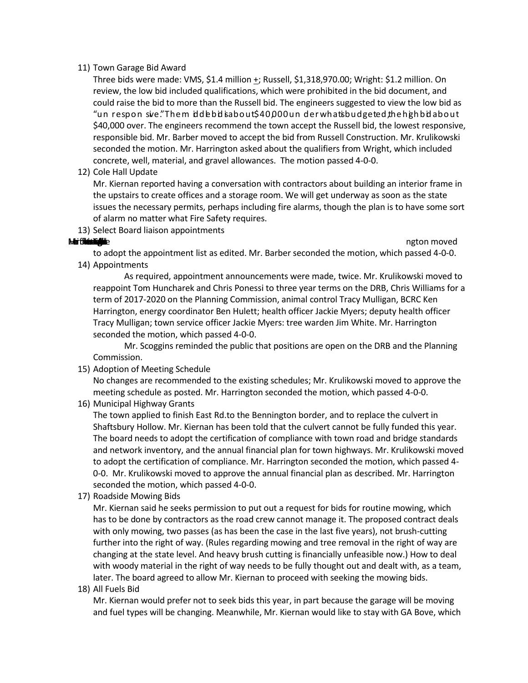### 11) Town Garage Bid Award

Three bids were made: VMS, \$1.4 million +; Russell, \$1,318,970.00; Wright: \$1.2 million. On review, the low bid included qualifications, which were prohibited in the bid document, and could raise the bid to more than the Russell bid. The engineers suggested to view the low bid as "un respon sive." The m iddle bid is about \$40,000 under what is budgeted, the high bid about \$40,000 over. The engineers recommend the town accept the Russell bid, the lowest responsive, responsible bid. Mr. Barber moved to accept the bid from Russell Construction. Mr. Krulikowski seconded the motion. Mr. Harrington asked about the qualifiers from Wright, which included concrete, well, material, and gravel allowances. The motion passed 4-0-0.

12) Cole Hall Update

Mr. Kiernan reported having a conversation with contractors about building an interior frame in the upstairs to create offices and a storage room. We will get underway as soon as the state issues the necessary permits, perhaps including fire alarms, though the plan is to have some sort of alarm no matter what Fire Safety requires.

13) Select Board liaison appointments

 $M$  is the health of add his name as liaison to a different the health of  $\mathbb{R}$  is not the health of  $\mathbb{R}$  is not the health of  $\mathbb{R}$  is not the health of  $\mathbb{R}$  is not the health of  $\mathbb{R}$  is not the health

to adopt the appointment list as edited. Mr. Barber seconded the motion, which passed 4-0-0. 14) Appointments

As required, appointment announcements were made, twice. Mr. Krulikowski moved to reappoint Tom Huncharek and Chris Ponessi to three year terms on the DRB, Chris Williams for a term of 2017-2020 on the Planning Commission, animal control Tracy Mulligan, BCRC Ken Harrington, energy coordinator Ben Hulett; health officer Jackie Myers; deputy health officer Tracy Mulligan; town service officer Jackie Myers: tree warden Jim White. Mr. Harrington seconded the motion, which passed 4-0-0.

Mr. Scoggins reminded the public that positions are open on the DRB and the Planning Commission.

15) Adoption of Meeting Schedule

No changes are recommended to the existing schedules; Mr. Krulikowski moved to approve the meeting schedule as posted. Mr. Harrington seconded the motion, which passed 4-0-0.

16) Municipal Highway Grants

The town applied to finish East Rd.to the Bennington border, and to replace the culvert in Shaftsbury Hollow. Mr. Kiernan has been told that the culvert cannot be fully funded this year. The board needs to adopt the certification of compliance with town road and bridge standards and network inventory, and the annual financial plan for town highways. Mr. Krulikowski moved to adopt the certification of compliance. Mr. Harrington seconded the motion, which passed 4- 0-0. Mr. Krulikowski moved to approve the annual financial plan as described. Mr. Harrington seconded the motion, which passed 4-0-0.

17) Roadside Mowing Bids

Mr. Kiernan said he seeks permission to put out a request for bids for routine mowing, which has to be done by contractors as the road crew cannot manage it. The proposed contract deals with only mowing, two passes (as has been the case in the last five years), not brush-cutting further into the right of way. (Rules regarding mowing and tree removal in the right of way are changing at the state level. And heavy brush cutting is financially unfeasible now.) How to deal with woody material in the right of way needs to be fully thought out and dealt with, as a team, later. The board agreed to allow Mr. Kiernan to proceed with seeking the mowing bids.

18) All Fuels Bid

Mr. Kiernan would prefer not to seek bids this year, in part because the garage will be moving and fuel types will be changing. Meanwhile, Mr. Kiernan would like to stay with GA Bove, which